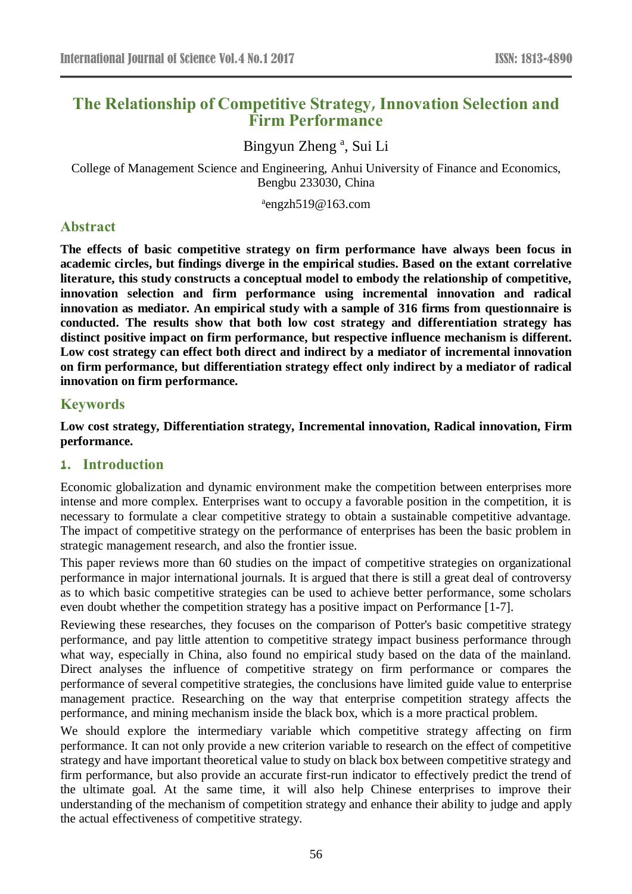# **The Relationship of Competitive Strategy, Innovation Selection and Firm Performance**

Bingyun Zheng<sup>a</sup>, Sui Li

College of Management Science and Engineering, Anhui University of Finance and Economics, Bengbu 233030, China

a engzh519@163.com

# **Abstract**

**The effects of basic competitive strategy on firm performance have always been focus in academic circles, but findings diverge in the empirical studies. Based on the extant correlative literature, this study constructs a conceptual model to embody the relationship of competitive, innovation selection and firm performance using incremental innovation and radical innovation as mediator. An empirical study with a sample of 316 firms from questionnaire is conducted. The results show that both low cost strategy and differentiation strategy has distinct positive impact on firm performance, but respective influence mechanism is different. Low cost strategy can effect both direct and indirect by a mediator of incremental innovation on firm performance, but differentiation strategy effect only indirect by a mediator of radical innovation on firm performance.**

# **Keywords**

**Low cost strategy, Differentiation strategy, Incremental innovation, Radical innovation, Firm performance.**

# **1. Introduction**

Economic globalization and dynamic environment make the competition between enterprises more intense and more complex. Enterprises want to occupy a favorable position in the competition, it is necessary to formulate a clear competitive strategy to obtain a sustainable competitive advantage. The impact of competitive strategy on the performance of enterprises has been the basic problem in strategic management research, and also the frontier issue.

This paper reviews more than 60 studies on the impact of competitive strategies on organizational performance in major international journals. It is argued that there is still a great deal of controversy as to which basic competitive strategies can be used to achieve better performance, some scholars even doubt whether the competition strategy has a positive impact on Performance [1-7].

Reviewing these researches, they focuses on the comparison of Potter's basic competitive strategy performance, and pay little attention to competitive strategy impact business performance through what way, especially in China, also found no empirical study based on the data of the mainland. Direct analyses the influence of competitive strategy on firm performance or compares the performance of several competitive strategies, the conclusions have limited guide value to enterprise management practice. Researching on the way that enterprise competition strategy affects the performance, and mining mechanism inside the black box, which is a more practical problem.

We should explore the intermediary variable which competitive strategy affecting on firm performance. It can not only provide a new criterion variable to research on the effect of competitive strategy and have important theoretical value to study on black box between competitive strategy and firm performance, but also provide an accurate first-run indicator to effectively predict the trend of the ultimate goal. At the same time, it will also help Chinese enterprises to improve their understanding of the mechanism of competition strategy and enhance their ability to judge and apply the actual effectiveness of competitive strategy.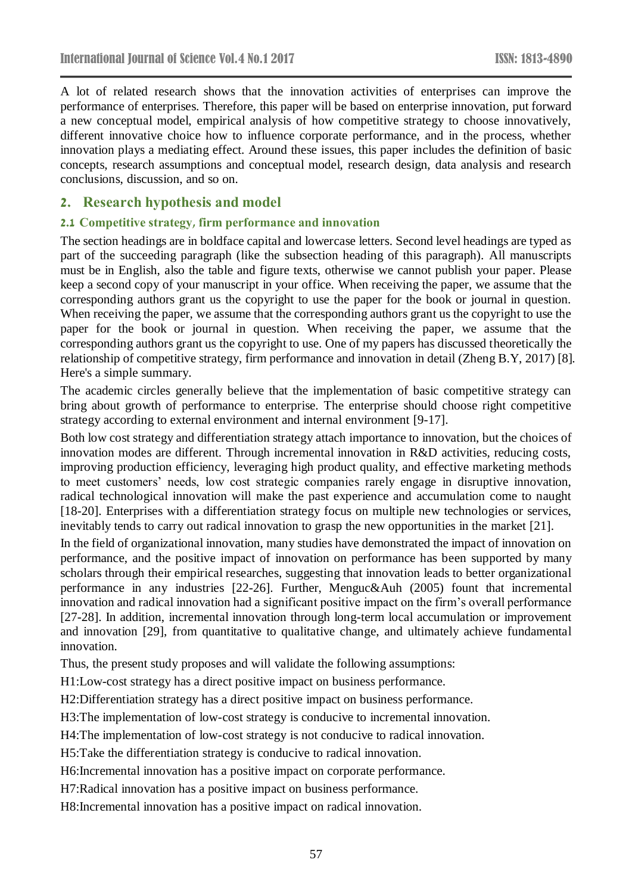A lot of related research shows that the innovation activities of enterprises can improve the performance of enterprises. Therefore, this paper will be based on enterprise innovation, put forward a new conceptual model, empirical analysis of how competitive strategy to choose innovatively, different innovative choice how to influence corporate performance, and in the process, whether innovation plays a mediating effect. Around these issues, this paper includes the definition of basic concepts, research assumptions and conceptual model, research design, data analysis and research conclusions, discussion, and so on.

### **2. Research hypothesis and model**

#### **2.1 Competitive strategy, firm performance and innovation**

The section headings are in boldface capital and lowercase letters. Second level headings are typed as part of the succeeding paragraph (like the subsection heading of this paragraph). All manuscripts must be in English, also the table and figure texts, otherwise we cannot publish your paper. Please keep a second copy of your manuscript in your office. When receiving the paper, we assume that the corresponding authors grant us the copyright to use the paper for the book or journal in question. When receiving the paper, we assume that the corresponding authors grant us the copyright to use the paper for the book or journal in question. When receiving the paper, we assume that the corresponding authors grant us the copyright to use. One of my papers has discussed theoretically the relationship of competitive strategy, firm performance and innovation in detail (Zheng B.Y, 2017) [8]. Here's a simple summary.

The academic circles generally believe that the implementation of basic competitive strategy can bring about growth of performance to enterprise. The enterprise should choose right competitive strategy according to external environment and internal environment [9-17].

Both low cost strategy and differentiation strategy attach importance to innovation, but the choices of innovation modes are different. Through incremental innovation in R&D activities, reducing costs, improving production efficiency, leveraging high product quality, and effective marketing methods to meet customers' needs, low cost strategic companies rarely engage in disruptive innovation, radical technological innovation will make the past experience and accumulation come to naught [18-20]. Enterprises with a differentiation strategy focus on multiple new technologies or services, inevitably tends to carry out radical innovation to grasp the new opportunities in the market [21].

In the field of organizational innovation, many studies have demonstrated the impact of innovation on performance, and the positive impact of innovation on performance has been supported by many scholars through their empirical researches, suggesting that innovation leads to better organizational performance in any industries [22-26]. Further, Menguc&Auh (2005) fount that incremental innovation and radical innovation had a significant positive impact on the firm's overall performance [27-28]. In addition, incremental innovation through long-term local accumulation or improvement and innovation [29], from quantitative to qualitative change, and ultimately achieve fundamental innovation.

Thus, the present study proposes and will validate the following assumptions:

H1:Low-cost strategy has a direct positive impact on business performance.

H2:Differentiation strategy has a direct positive impact on business performance.

H3:The implementation of low-cost strategy is conducive to incremental innovation.

H4:The implementation of low-cost strategy is not conducive to radical innovation.

H5:Take the differentiation strategy is conducive to radical innovation.

H6:Incremental innovation has a positive impact on corporate performance.

H7:Radical innovation has a positive impact on business performance.

H8:Incremental innovation has a positive impact on radical innovation.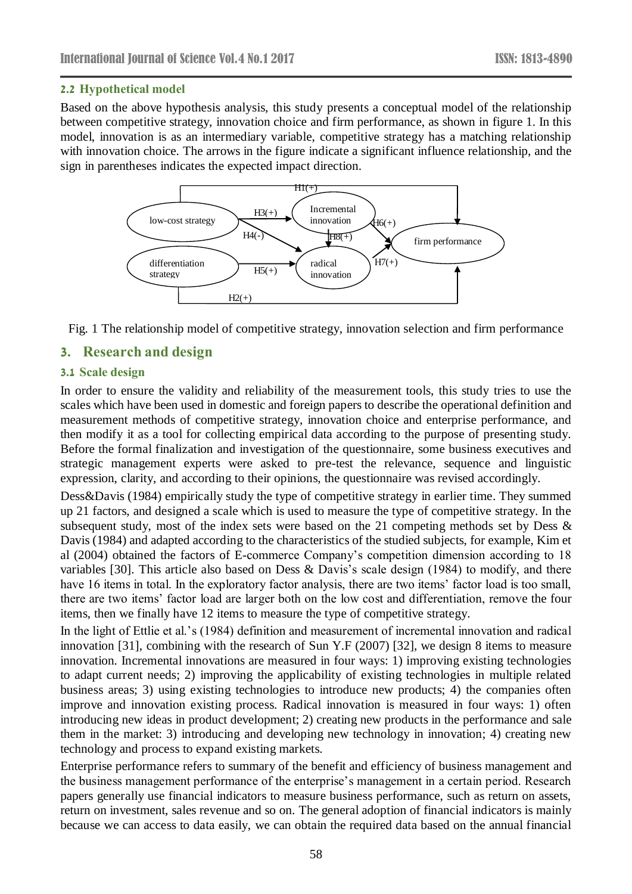#### **2.2 Hypothetical model**

Based on the above hypothesis analysis, this study presents a conceptual model of the relationship between competitive strategy, innovation choice and firm performance, as shown in figure 1. In this model, innovation is as an intermediary variable, competitive strategy has a matching relationship with innovation choice. The arrows in the figure indicate a significant influence relationship, and the sign in parentheses indicates the expected impact direction.



Fig. 1 The relationship model of competitive strategy, innovation selection and firm performance

# **3. Research and design**

#### **3.1 Scale design**

In order to ensure the validity and reliability of the measurement tools, this study tries to use the scales which have been used in domestic and foreign papers to describe the operational definition and measurement methods of competitive strategy, innovation choice and enterprise performance, and then modify it as a tool for collecting empirical data according to the purpose of presenting study. Before the formal finalization and investigation of the questionnaire, some business executives and strategic management experts were asked to pre-test the relevance, sequence and linguistic expression, clarity, and according to their opinions, the questionnaire was revised accordingly.

Dess&Davis (1984) empirically study the type of competitive strategy in earlier time. They summed up 21 factors, and designed a scale which is used to measure the type of competitive strategy. In the subsequent study, most of the index sets were based on the 21 competing methods set by Dess & Davis (1984) and adapted according to the characteristics of the studied subjects, for example, Kim et al (2004) obtained the factors of E-commerce Company's competition dimension according to 18 variables [30]. This article also based on Dess & Davis's scale design (1984) to modify, and there have 16 items in total. In the exploratory factor analysis, there are two items' factor load is too small, there are two items' factor load are larger both on the low cost and differentiation, remove the four items, then we finally have 12 items to measure the type of competitive strategy.

In the light of Ettlie et al.'s (1984) definition and measurement of incremental innovation and radical innovation [31], combining with the research of Sun Y.F (2007) [32], we design 8 items to measure innovation. Incremental innovations are measured in four ways: 1) improving existing technologies to adapt current needs; 2) improving the applicability of existing technologies in multiple related business areas; 3) using existing technologies to introduce new products; 4) the companies often improve and innovation existing process. Radical innovation is measured in four ways: 1) often introducing new ideas in product development; 2) creating new products in the performance and sale them in the market: 3) introducing and developing new technology in innovation; 4) creating new technology and process to expand existing markets.

Enterprise performance refers to summary of the benefit and efficiency of business management and the business management performance of the enterprise's management in a certain period. Research papers generally use financial indicators to measure business performance, such as return on assets, return on investment, sales revenue and so on. The general adoption of financial indicators is mainly because we can access to data easily, we can obtain the required data based on the annual financial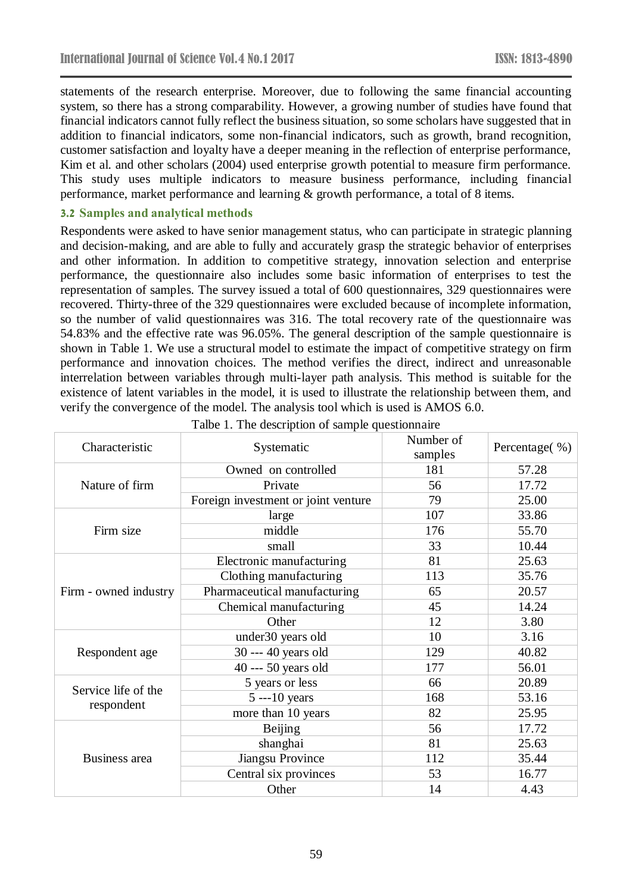statements of the research enterprise. Moreover, due to following the same financial accounting system, so there has a strong comparability. However, a growing number of studies have found that financial indicators cannot fully reflect the business situation, so some scholars have suggested that in addition to financial indicators, some non-financial indicators, such as growth, brand recognition, customer satisfaction and loyalty have a deeper meaning in the reflection of enterprise performance, Kim et al. and other scholars (2004) used enterprise growth potential to measure firm performance. This study uses multiple indicators to measure business performance, including financial performance, market performance and learning & growth performance, a total of 8 items.

#### **3.2 Samples and analytical methods**

Respondents were asked to have senior management status, who can participate in strategic planning and decision-making, and are able to fully and accurately grasp the strategic behavior of enterprises and other information. In addition to competitive strategy, innovation selection and enterprise performance, the questionnaire also includes some basic information of enterprises to test the representation of samples. The survey issued a total of 600 questionnaires, 329 questionnaires were recovered. Thirty-three of the 329 questionnaires were excluded because of incomplete information, so the number of valid questionnaires was 316. The total recovery rate of the questionnaire was 54.83% and the effective rate was 96.05%. The general description of the sample questionnaire is shown in Table 1. We use a structural model to estimate the impact of competitive strategy on firm performance and innovation choices. The method verifies the direct, indirect and unreasonable interrelation between variables through multi-layer path analysis. This method is suitable for the existence of latent variables in the model, it is used to illustrate the relationship between them, and verify the convergence of the model. The analysis tool which is used is AMOS 6.0.

| Characteristic                    | Systematic                          | Number of<br>samples | Percentage(%) |
|-----------------------------------|-------------------------------------|----------------------|---------------|
| Nature of firm                    | Owned on controlled                 | 181                  | 57.28         |
|                                   | Private                             | 56                   | 17.72         |
|                                   | Foreign investment or joint venture | 79                   | 25.00         |
| Firm size                         | large                               | 107                  | 33.86         |
|                                   | middle                              | 176                  | 55.70         |
|                                   | small                               | 33                   | 10.44         |
|                                   | Electronic manufacturing            | 81                   | 25.63         |
|                                   | Clothing manufacturing              | 113                  | 35.76         |
| Firm - owned industry             | Pharmaceutical manufacturing        | 65                   | 20.57         |
|                                   | Chemical manufacturing              | 45                   | 14.24         |
|                                   | Other                               | 12                   | 3.80          |
| Respondent age                    | under30 years old                   | 10                   | 3.16          |
|                                   | 30 --- 40 years old                 | 129                  | 40.82         |
|                                   | 40 --- 50 years old                 | 177                  | 56.01         |
| Service life of the<br>respondent | 5 years or less                     | 66                   | 20.89         |
|                                   | $5 - 10$ years                      | 168                  | 53.16         |
|                                   | more than 10 years                  | 82                   | 25.95         |
| Business area                     | Beijing                             | 56                   | 17.72         |
|                                   | shanghai                            | 81                   | 25.63         |
|                                   | Jiangsu Province                    | 112                  | 35.44         |
|                                   | Central six provinces               | 53                   | 16.77         |
|                                   | Other                               | 14                   | 4.43          |

Talbe 1. The description of sample questionnaire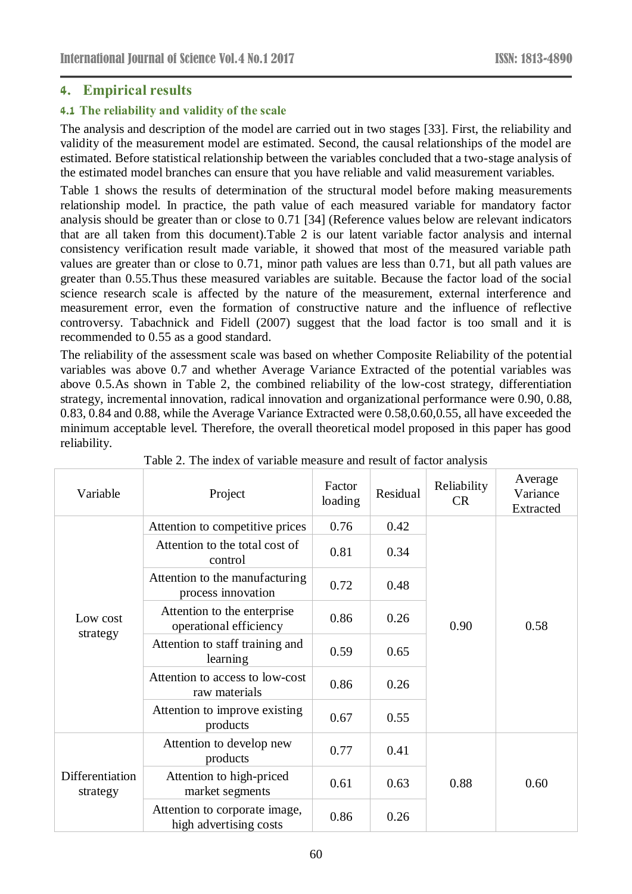# **4. Empirical results**

# **4.1 The reliability and validity of the scale**

The analysis and description of the model are carried out in two stages [33]. First, the reliability and validity of the measurement model are estimated. Second, the causal relationships of the model are estimated. Before statistical relationship between the variables concluded that a two-stage analysis of the estimated model branches can ensure that you have reliable and valid measurement variables.

Table 1 shows the results of determination of the structural model before making measurements relationship model. In practice, the path value of each measured variable for mandatory factor analysis should be greater than or close to 0.71 [34] (Reference values below are relevant indicators that are all taken from this document).Table 2 is our latent variable factor analysis and internal consistency verification result made variable, it showed that most of the measured variable path values are greater than or close to 0.71, minor path values are less than 0.71, but all path values are greater than 0.55.Thus these measured variables are suitable. Because the factor load of the social science research scale is affected by the nature of the measurement, external interference and measurement error, even the formation of constructive nature and the influence of reflective controversy. Tabachnick and Fidell (2007) suggest that the load factor is too small and it is recommended to 0.55 as a good standard.

The reliability of the assessment scale was based on whether Composite Reliability of the potential variables was above 0.7 and whether Average Variance Extracted of the potential variables was above 0.5.As shown in Table 2, the combined reliability of the low-cost strategy, differentiation strategy, incremental innovation, radical innovation and organizational performance were 0.90, 0.88, 0.83, 0.84 and 0.88, while the Average Variance Extracted were 0.58,0.60,0.55, all have exceeded the minimum acceptable level. Therefore, the overall theoretical model proposed in this paper has good reliability.

| Variable                    | Project                                                 | Factor<br>loading | Residual | Reliability<br><b>CR</b> | Average<br>Variance<br>Extracted |
|-----------------------------|---------------------------------------------------------|-------------------|----------|--------------------------|----------------------------------|
| Low cost<br>strategy        | Attention to competitive prices                         | 0.76              | 0.42     | 0.90                     | 0.58                             |
|                             | Attention to the total cost of<br>control               | 0.81              | 0.34     |                          |                                  |
|                             | Attention to the manufacturing<br>process innovation    | 0.72              | 0.48     |                          |                                  |
|                             | Attention to the enterprise<br>operational efficiency   | 0.86              | 0.26     |                          |                                  |
|                             | Attention to staff training and<br>learning             | 0.59              | 0.65     |                          |                                  |
|                             | Attention to access to low-cost<br>raw materials        | 0.86              | 0.26     |                          |                                  |
|                             | Attention to improve existing<br>products               | 0.67              | 0.55     |                          |                                  |
| Differentiation<br>strategy | Attention to develop new<br>products                    | 0.77              | 0.41     | 0.88                     | 0.60                             |
|                             | Attention to high-priced<br>market segments             | 0.61              | 0.63     |                          |                                  |
|                             | Attention to corporate image,<br>high advertising costs | 0.86              | 0.26     |                          |                                  |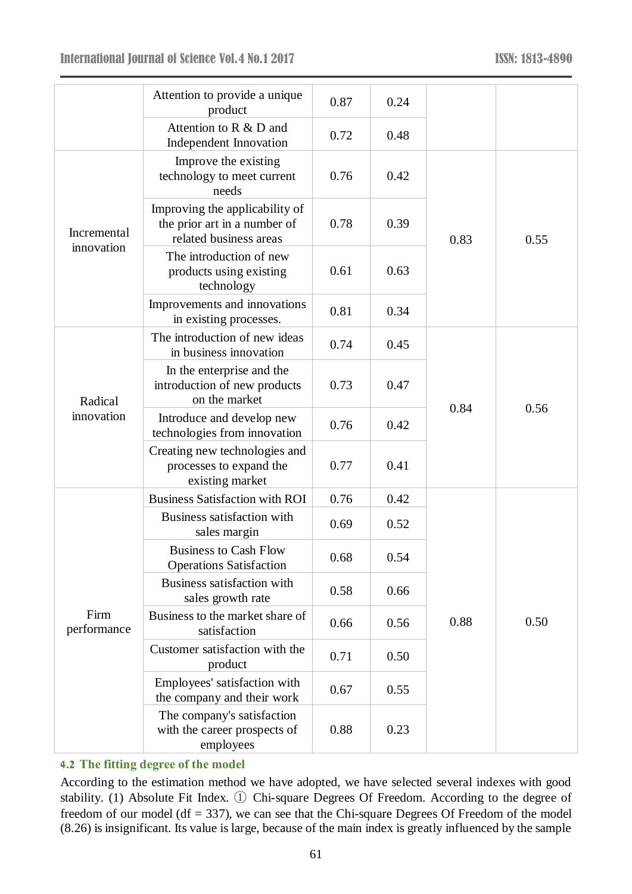|                           | Attention to provide a unique<br>product                                                 | 0.87 | 0.24 |      |      |
|---------------------------|------------------------------------------------------------------------------------------|------|------|------|------|
|                           | Attention to R & D and<br>Independent Innovation                                         | 0.72 | 0.48 |      |      |
| Incremental<br>innovation | Improve the existing<br>technology to meet current<br>needs                              | 0.76 | 0.42 | 0.83 | 0.55 |
|                           | Improving the applicability of<br>the prior art in a number of<br>related business areas | 0.78 | 0.39 |      |      |
|                           | The introduction of new<br>products using existing<br>technology                         | 0.61 | 0.63 |      |      |
|                           | Improvements and innovations<br>in existing processes.                                   | 0.81 | 0.34 |      |      |
| Radical<br>innovation     | The introduction of new ideas<br>in business innovation                                  | 0.74 | 0.45 | 0.84 | 0.56 |
|                           | In the enterprise and the<br>introduction of new products<br>on the market               | 0.73 | 0.47 |      |      |
|                           | Introduce and develop new<br>technologies from innovation                                | 0.76 | 0.42 |      |      |
|                           | Creating new technologies and<br>processes to expand the<br>existing market              | 0.77 | 0.41 |      |      |
|                           | <b>Business Satisfaction with ROI</b>                                                    | 0.76 | 0.42 | 0.88 | 0.50 |
| Firm<br>performance       | Business satisfaction with<br>sales margin                                               | 0.69 | 0.52 |      |      |
|                           | <b>Business to Cash Flow</b><br><b>Operations Satisfaction</b>                           | 0.68 | 0.54 |      |      |
|                           | Business satisfaction with<br>sales growth rate                                          | 0.58 | 0.66 |      |      |
|                           | Business to the market share of<br>satisfaction                                          | 0.66 | 0.56 |      |      |
|                           | Customer satisfaction with the<br>product                                                | 0.71 | 0.50 |      |      |
|                           | Employees' satisfaction with<br>the company and their work                               | 0.67 | 0.55 |      |      |
|                           | The company's satisfaction<br>with the career prospects of<br>employees                  | 0.88 | 0.23 |      |      |

# **4.2 The fitting degree of the model**

According to the estimation method we have adopted, we have selected several indexes with good stability. (1) Absolute Fit Index. ① Chi-square Degrees Of Freedom. According to the degree of freedom of our model (df  $= 337$ ), we can see that the Chi-square Degrees Of Freedom of the model (8.26) is insignificant. Its value is large, because of the main index is greatly influenced by the sample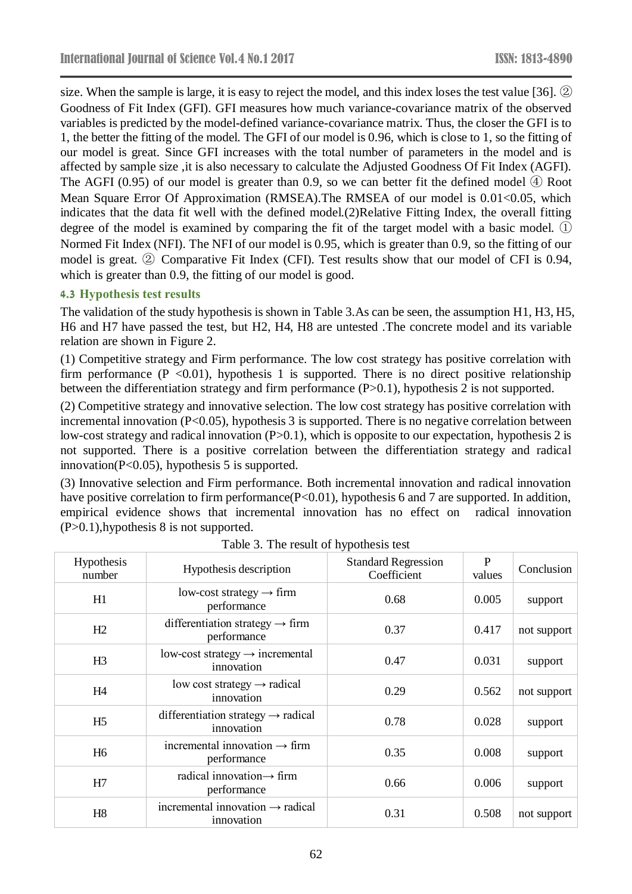size. When the sample is large, it is easy to reject the model, and this index loses the test value [36]. ② Goodness of Fit Index (GFI). GFI measures how much variance-covariance matrix of the observed variables is predicted by the model-defined variance-covariance matrix. Thus, the closer the GFI is to 1, the better the fitting of the model. The GFI of our model is 0.96, which is close to 1, so the fitting of our model is great. Since GFI increases with the total number of parameters in the model and is affected by sample size ,it is also necessary to calculate the Adjusted Goodness Of Fit Index (AGFI). The AGFI (0.95) of our model is greater than 0.9, so we can better fit the defined model ④ Root Mean Square Error Of Approximation (RMSEA). The RMSEA of our model is 0.01<0.05, which indicates that the data fit well with the defined model.(2)Relative Fitting Index, the overall fitting degree of the model is examined by comparing the fit of the target model with a basic model.  $(1)$ Normed Fit Index (NFI). The NFI of our model is 0.95, which is greater than 0.9, so the fitting of our model is great. ② Comparative Fit Index (CFI). Test results show that our model of CFI is 0.94, which is greater than 0.9, the fitting of our model is good.

#### **4.3 Hypothesis test results**

The validation of the study hypothesis is shown in Table 3.As can be seen, the assumption H1, H3, H5, H6 and H7 have passed the test, but H2, H4, H8 are untested .The concrete model and its variable relation are shown in Figure 2.

(1) Competitive strategy and Firm performance. The low cost strategy has positive correlation with firm performance ( $P \le 0.01$ ), hypothesis 1 is supported. There is no direct positive relationship between the differentiation strategy and firm performance (P>0.1), hypothesis 2 is not supported.

(2) Competitive strategy and innovative selection. The low cost strategy has positive correlation with incremental innovation (P<0.05), hypothesis 3 is supported. There is no negative correlation between low-cost strategy and radical innovation (P>0.1), which is opposite to our expectation, hypothesis 2 is not supported. There is a positive correlation between the differentiation strategy and radical innovation(P<0.05), hypothesis 5 is supported.

(3) Innovative selection and Firm performance. Both incremental innovation and radical innovation have positive correlation to firm performance(P<0.01), hypothesis 6 and 7 are supported. In addition, empirical evidence shows that incremental innovation has no effect on radical innovation (P>0.1),hypothesis 8 is not supported.

| Hypothesis<br>number | Hypothesis description                                       | <b>Standard Regression</b><br>Coefficient | $\mathbf{P}$<br>values | Conclusion  |
|----------------------|--------------------------------------------------------------|-------------------------------------------|------------------------|-------------|
| H1                   | low-cost strategy $\rightarrow$ firm<br>performance          | 0.68                                      | 0.005                  | support     |
| H2                   | differentiation strategy $\rightarrow$ firm<br>performance   | 0.37                                      | 0.417                  | not support |
| H <sub>3</sub>       | $low-cost strategy \rightarrow incremental$<br>innovation    | 0.47                                      | 0.031                  | support     |
| H <sub>4</sub>       | low cost strategy $\rightarrow$ radical<br>innovation        | 0.29                                      | 0.562                  | not support |
| H <sub>5</sub>       | differentiation strategy $\rightarrow$ radical<br>innovation | 0.78                                      | 0.028                  | support     |
| H <sub>6</sub>       | incremental innovation $\rightarrow$ firm<br>performance     | 0.35                                      | 0.008                  | support     |
| H7                   | radical innovation $\rightarrow$ firm<br>performance         | 0.66                                      | 0.006                  | support     |
| H <sub>8</sub>       | incremental innovation $\rightarrow$ radical<br>innovation   | 0.31                                      | 0.508                  | not support |

Table 3. The result of hypothesis test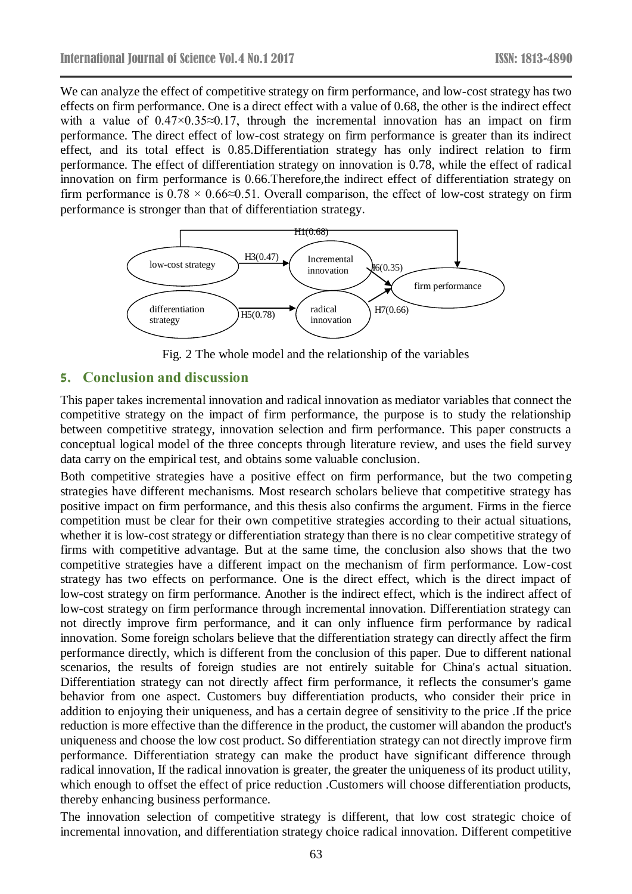We can analyze the effect of competitive strategy on firm performance, and low-cost strategy has two effects on firm performance. One is a direct effect with a value of 0.68, the other is the indirect effect with a value of  $0.47 \times 0.35 \approx 0.17$ , through the incremental innovation has an impact on firm performance. The direct effect of low-cost strategy on firm performance is greater than its indirect effect, and its total effect is 0.85.Differentiation strategy has only indirect relation to firm performance. The effect of differentiation strategy on innovation is 0.78, while the effect of radical innovation on firm performance is 0.66.Therefore,the indirect effect of differentiation strategy on firm performance is  $0.78 \times 0.66 \approx 0.51$ . Overall comparison, the effect of low-cost strategy on firm performance is stronger than that of differentiation strategy.



Fig. 2 The whole model and the relationship of the variables

### **5. Conclusion and discussion**

This paper takes incremental innovation and radical innovation as mediator variables that connect the competitive strategy on the impact of firm performance, the purpose is to study the relationship between competitive strategy, innovation selection and firm performance. This paper constructs a conceptual logical model of the three concepts through literature review, and uses the field survey data carry on the empirical test, and obtains some valuable conclusion.

Both competitive strategies have a positive effect on firm performance, but the two competing strategies have different mechanisms. Most research scholars believe that competitive strategy has positive impact on firm performance, and this thesis also confirms the argument. Firms in the fierce competition must be clear for their own competitive strategies according to their actual situations, whether it is low-cost strategy or differentiation strategy than there is no clear competitive strategy of firms with competitive advantage. But at the same time, the conclusion also shows that the two competitive strategies have a different impact on the mechanism of firm performance. Low-cost strategy has two effects on performance. One is the direct effect, which is the direct impact of low-cost strategy on firm performance. Another is the indirect effect, which is the indirect affect of low-cost strategy on firm performance through incremental innovation. Differentiation strategy can not directly improve firm performance, and it can only influence firm performance by radical innovation. Some foreign scholars believe that the differentiation strategy can directly affect the firm performance directly, which is different from the conclusion of this paper. Due to different national scenarios, the results of foreign studies are not entirely suitable for China's actual situation. Differentiation strategy can not directly affect firm performance, it reflects the consumer's game behavior from one aspect. Customers buy differentiation products, who consider their price in addition to enjoying their uniqueness, and has a certain degree of sensitivity to the price .If the price reduction is more effective than the difference in the product, the customer will abandon the product's uniqueness and choose the low cost product. So differentiation strategy can not directly improve firm performance. Differentiation strategy can make the product have significant difference through radical innovation, If the radical innovation is greater, the greater the uniqueness of its product utility, which enough to offset the effect of price reduction .Customers will choose differentiation products, thereby enhancing business performance.

The innovation selection of competitive strategy is different, that low cost strategic choice of incremental innovation, and differentiation strategy choice radical innovation. Different competitive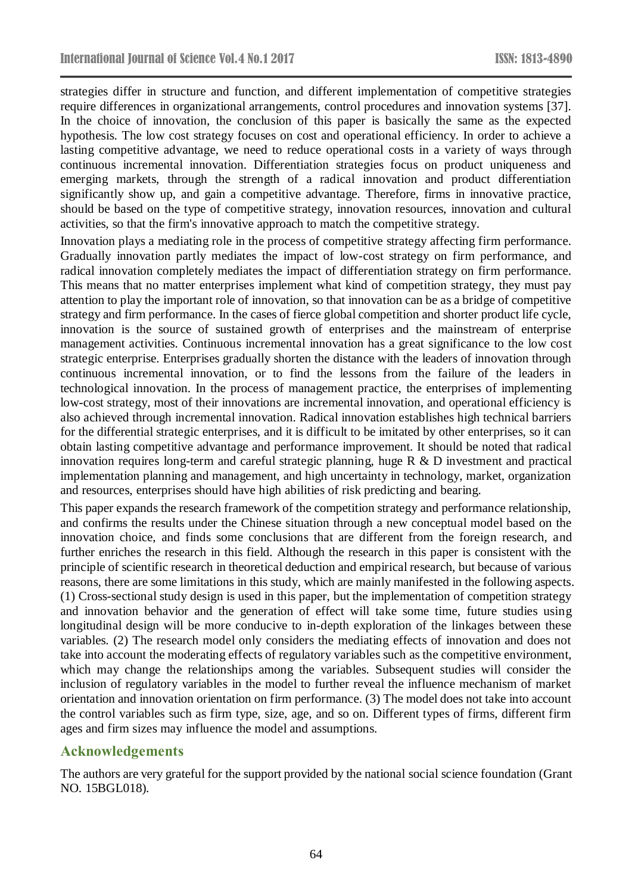strategies differ in structure and function, and different implementation of competitive strategies require differences in organizational arrangements, control procedures and innovation systems [37]. In the choice of innovation, the conclusion of this paper is basically the same as the expected hypothesis. The low cost strategy focuses on cost and operational efficiency. In order to achieve a lasting competitive advantage, we need to reduce operational costs in a variety of ways through continuous incremental innovation. Differentiation strategies focus on product uniqueness and emerging markets, through the strength of a radical innovation and product differentiation significantly show up, and gain a competitive advantage. Therefore, firms in innovative practice, should be based on the type of competitive strategy, innovation resources, innovation and cultural activities, so that the firm's innovative approach to match the competitive strategy.

Innovation plays a mediating role in the process of competitive strategy affecting firm performance. Gradually innovation partly mediates the impact of low-cost strategy on firm performance, and radical innovation completely mediates the impact of differentiation strategy on firm performance. This means that no matter enterprises implement what kind of competition strategy, they must pay attention to play the important role of innovation, so that innovation can be as a bridge of competitive strategy and firm performance. In the cases of fierce global competition and shorter product life cycle, innovation is the source of sustained growth of enterprises and the mainstream of enterprise management activities. Continuous incremental innovation has a great significance to the low cost strategic enterprise. Enterprises gradually shorten the distance with the leaders of innovation through continuous incremental innovation, or to find the lessons from the failure of the leaders in technological innovation. In the process of management practice, the enterprises of implementing low-cost strategy, most of their innovations are incremental innovation, and operational efficiency is also achieved through incremental innovation. Radical innovation establishes high technical barriers for the differential strategic enterprises, and it is difficult to be imitated by other enterprises, so it can obtain lasting competitive advantage and performance improvement. It should be noted that radical innovation requires long-term and careful strategic planning, huge R & D investment and practical implementation planning and management, and high uncertainty in technology, market, organization and resources, enterprises should have high abilities of risk predicting and bearing.

This paper expands the research framework of the competition strategy and performance relationship, and confirms the results under the Chinese situation through a new conceptual model based on the innovation choice, and finds some conclusions that are different from the foreign research, and further enriches the research in this field. Although the research in this paper is consistent with the principle of scientific research in theoretical deduction and empirical research, but because of various reasons, there are some limitations in this study, which are mainly manifested in the following aspects. (1) Cross-sectional study design is used in this paper, but the implementation of competition strategy and innovation behavior and the generation of effect will take some time, future studies using longitudinal design will be more conducive to in-depth exploration of the linkages between these variables. (2) The research model only considers the mediating effects of innovation and does not take into account the moderating effects of regulatory variables such as the competitive environment, which may change the relationships among the variables. Subsequent studies will consider the inclusion of regulatory variables in the model to further reveal the influence mechanism of market orientation and innovation orientation on firm performance. (3) The model does not take into account the control variables such as firm type, size, age, and so on. Different types of firms, different firm ages and firm sizes may influence the model and assumptions.

# **Acknowledgements**

The authors are very grateful for the support provided by the national social science foundation (Grant NO. 15BGL018).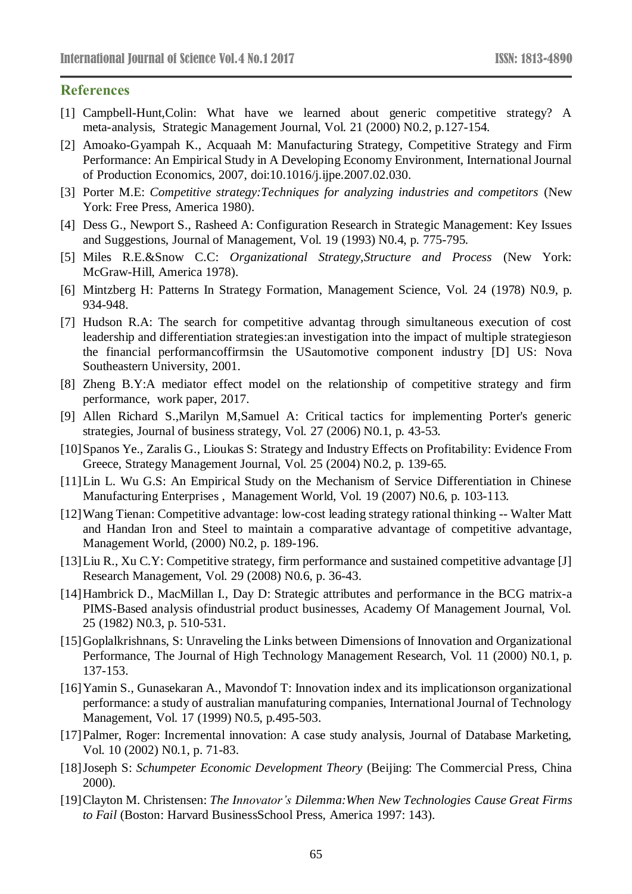# **References**

- [1] Campbell-Hunt,Colin: What have we learned about generic competitive strategy? A meta-analysis, Strategic Management Journal, Vol. 21 (2000) N0.2, p.127-154.
- [2] Amoako-Gyampah K., Acquaah M: Manufacturing Strategy, Competitive Strategy and Firm Performance: An Empirical Study in A Developing Economy Environment, International Journal of Production Economics, 2007, doi:10.1016/j.ijpe.2007.02.030.
- [3] Porter M.E: *Competitive strategy:Techniques for analyzing industries and competitors* (New York: Free Press, America 1980).
- [4] Dess G., Newport S., Rasheed A: Configuration Research in Strategic Management: Key Issues and Suggestions, Journal of Management, Vol. 19 (1993) N0.4, p. 775-795.
- [5] Miles R.E.&Snow C.C: *Organizational Strategy,Structure and Process* (New York: McGraw-Hill, America 1978).
- [6] Mintzberg H: Patterns In Strategy Formation, Management Science, Vol. 24 (1978) N0.9, p. 934-948.
- [7] Hudson R.A: The search for competitive advantag through simultaneous execution of cost leadership and differentiation strategies:an investigation into the impact of multiple strategieson the financial performancoffirmsin the USautomotive component industry [D] US: Nova Southeastern University, 2001.
- [8] Zheng B.Y:A mediator effect model on the relationship of competitive strategy and firm performance, work paper, 2017.
- [9] Allen Richard S.,Marilyn M,Samuel A: Critical tactics for implementing Porter's generic strategies, Journal of business strategy, Vol. 27 (2006) N0.1, p. 43-53.
- [10]Spanos Ye., Zaralis G., Lioukas S: Strategy and Industry Effects on Profitability: Evidence From Greece, Strategy Management Journal, Vol. 25 (2004) N0.2, p. 139-65.
- [11]Lin L. Wu G.S: An Empirical Study on the Mechanism of Service Differentiation in Chinese Manufacturing Enterprises , Management World, Vol. 19 (2007) N0.6, p. 103-113.
- [12]Wang Tienan: Competitive advantage: low-cost leading strategy rational thinking -- Walter Matt and Handan Iron and Steel to maintain a comparative advantage of competitive advantage, Management World, (2000) N0.2, p. 189-196.
- [13]Liu R., Xu C.Y: Competitive strategy, firm performance and sustained competitive advantage [J] Research Management, Vol. 29 (2008) N0.6, p. 36-43.
- [14]Hambrick D., MacMillan I., Day D: Strategic attributes and performance in the BCG matrix-a PIMS-Based analysis ofindustrial product businesses, Academy Of Management Journal, Vol. 25 (1982) N0.3, p. 510-531.
- [15]Goplalkrishnans, S: Unraveling the Links between Dimensions of Innovation and Organizational Performance, The Journal of High Technology Management Research, Vol. 11 (2000) N0.1, p. 137-153.
- [16]Yamin S., Gunasekaran A., Mavondof T: Innovation index and its implicationson organizational performance: a study of australian manufaturing companies, International Journal of Technology Management, Vol. 17 (1999) N0.5, p.495-503.
- [17]Palmer, Roger: Incremental innovation: A case study analysis, Journal of Database Marketing, Vol. 10 (2002) N0.1, p. 71-83.
- [18]Joseph S: *Schumpeter Economic Development Theory* (Beijing: The Commercial Press, China 2000).
- [19]Clayton M. Christensen: *The Innovator's Dilemma:When New Technologies Cause Great Firms to Fail* (Boston: Harvard BusinessSchool Press, America 1997: 143).